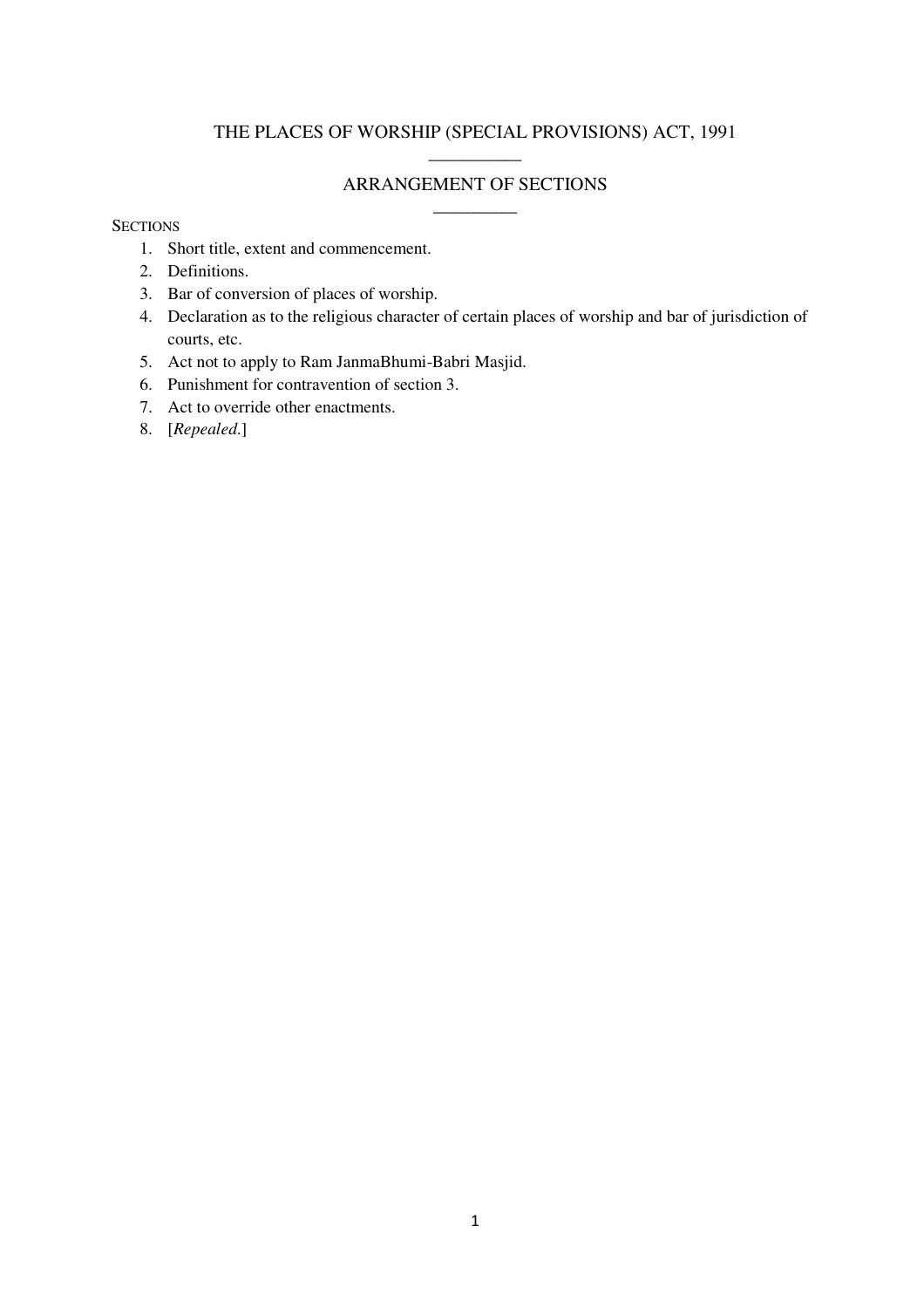## THE PLACES OF WORSHIP (SPECIAL PROVISIONS) ACT, 1991 \_\_\_\_\_\_\_\_\_\_

# ARRANGEMENT OF SECTIONS

 $\sim$ 

### **SECTIONS**

- 1. Short title, extent and commencement.
- 2. Definitions.
- 3. Bar of conversion of places of worship.
- 4. Declaration as to the religious character of certain places of worship and bar of jurisdiction of courts, etc.
- 5. Act not to apply to Ram JanmaBhumi-Babri Masjid.
- 6. Punishment for contravention of section 3.
- 7. Act to override other enactments.
- 8. [*Repealed*.]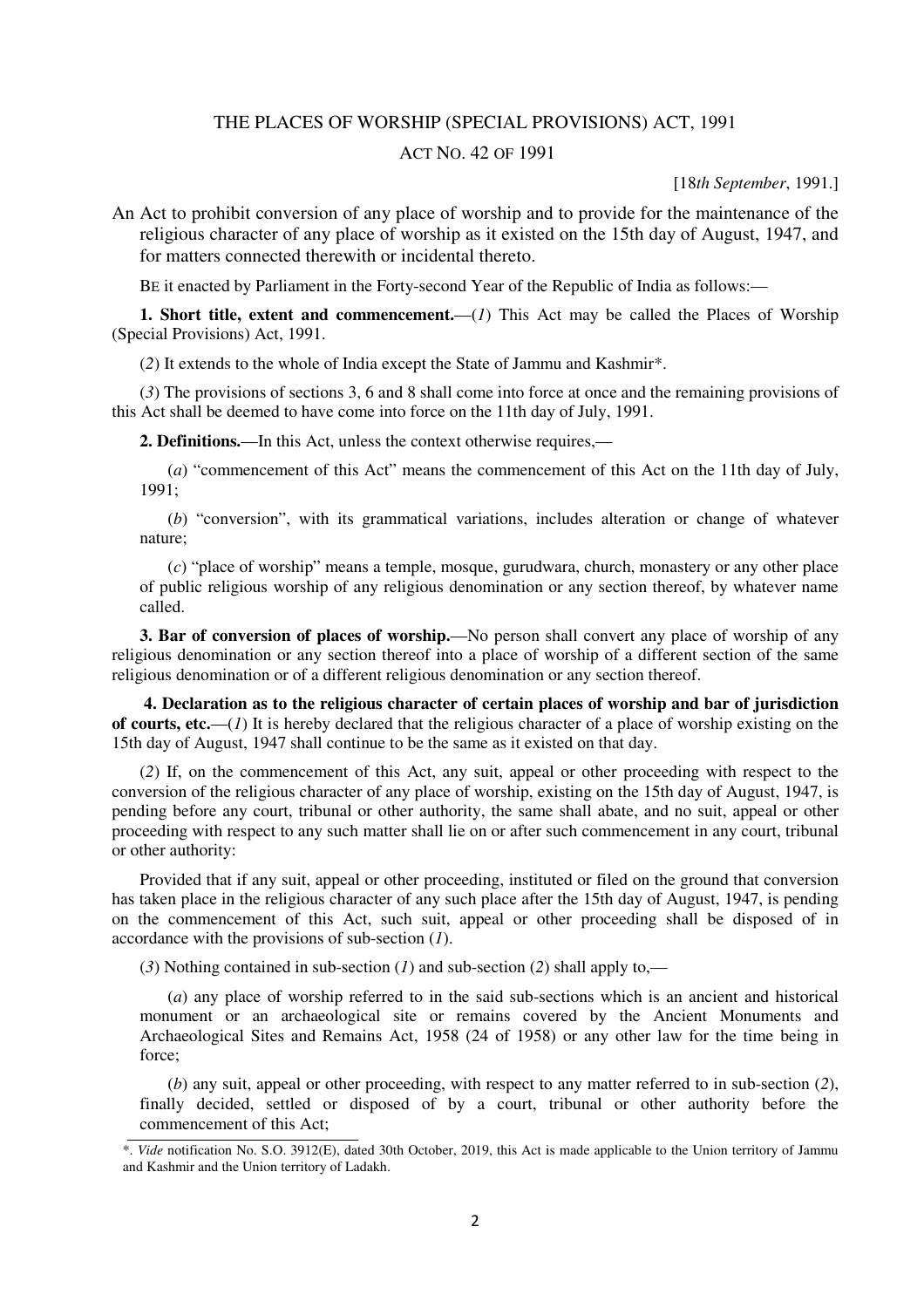#### THE PLACES OF WORSHIP (SPECIAL PROVISIONS) ACT, 1991

### ACT NO. 42 OF 1991

[18*th September*, 1991.]

An Act to prohibit conversion of any place of worship and to provide for the maintenance of the religious character of any place of worship as it existed on the 15th day of August, 1947, and for matters connected therewith or incidental thereto.

BE it enacted by Parliament in the Forty-second Year of the Republic of India as follows:—

**1. Short title, extent and commencement.**—(*1*) This Act may be called the Places of Worship (Special Provisions) Act, 1991.

(*2*) It extends to the whole of India except the State of Jammu and Kashmir\*.

(*3*) The provisions of sections 3, 6 and 8 shall come into force at once and the remaining provisions of this Act shall be deemed to have come into force on the 11th day of July, 1991.

**2. Definitions.**—In this Act, unless the context otherwise requires,—

(*a*) "commencement of this Act" means the commencement of this Act on the 11th day of July, 1991;

(*b*) "conversion", with its grammatical variations, includes alteration or change of whatever nature;

(*c*) "place of worship" means a temple, mosque, gurudwara, church, monastery or any other place of public religious worship of any religious denomination or any section thereof, by whatever name called.

**3. Bar of conversion of places of worship.**—No person shall convert any place of worship of any religious denomination or any section thereof into a place of worship of a different section of the same religious denomination or of a different religious denomination or any section thereof.

 **4. Declaration as to the religious character of certain places of worship and bar of jurisdiction of courts, etc.**—(*1*) It is hereby declared that the religious character of a place of worship existing on the 15th day of August, 1947 shall continue to be the same as it existed on that day.

(*2*) If, on the commencement of this Act, any suit, appeal or other proceeding with respect to the conversion of the religious character of any place of worship, existing on the 15th day of August, 1947, is pending before any court, tribunal or other authority, the same shall abate, and no suit, appeal or other proceeding with respect to any such matter shall lie on or after such commencement in any court, tribunal or other authority:

Provided that if any suit, appeal or other proceeding, instituted or filed on the ground that conversion has taken place in the religious character of any such place after the 15th day of August, 1947, is pending on the commencement of this Act, such suit, appeal or other proceeding shall be disposed of in accordance with the provisions of sub-section (*1*).

(*3*) Nothing contained in sub-section (*1*) and sub-section (*2*) shall apply to,—

(*a*) any place of worship referred to in the said sub-sections which is an ancient and historical monument or an archaeological site or remains covered by the Ancient Monuments and Archaeological Sites and Remains Act, 1958 (24 of 1958) or any other law for the time being in force;

(*b*) any suit, appeal or other proceeding, with respect to any matter referred to in sub-section (*2*), finally decided, settled or disposed of by a court, tribunal or other authority before the commencement of this Act;

<sup>\*.</sup> *Vide* notification No. S.O. 3912(E), dated 30th October, 2019, this Act is made applicable to the Union territory of Jammu and Kashmir and the Union territory of Ladakh.